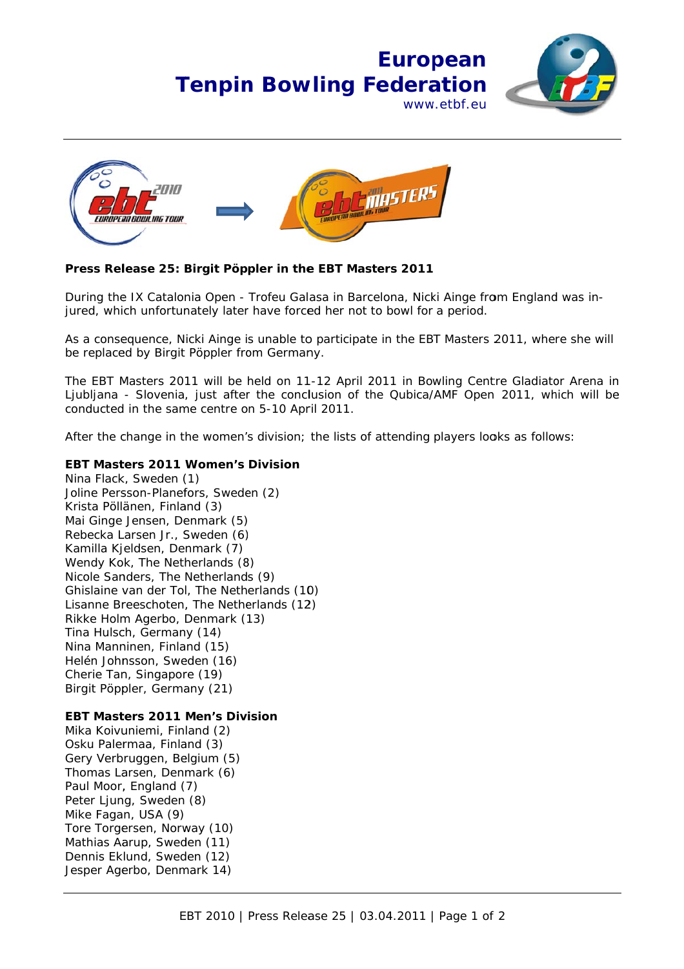## **Tenpin Bowling Federation Euro pean** www w.etbf.eu





## **Press Release 25: Birgit Pöppler in the EBT Masters 2011**

During the IX Catalonia Open - Trofeu Galasa in Barcelona, Nicki Ainge from England was injured, which unfortunately later have forced her not to bowl for a period.

As a consequence, Nicki Ainge is unable to participate in the EBT Masters 2011, where she will be replaced by Birgit Pöppler from Germany.

The EBT Masters 2011 will be held on 11-12 April 2011 in Bowling Centre Gladiator Arena in Ljubljana - Slovenia, just after the conclusion of the Qubica/AMF Open 2011, which will be conducted in the same centre on 5-10 April 2011.

After the change in the women's division; the lists of attending players looks as follows:

## EBT Masters 2011 Women's Division

Nina Flack k, Sweden ( (1) Joline Persson-Planefors, Sweden (2) Krista Pöllänen, Finland (3) Mai Ginge Jensen, Denmark (5) Rebecka L Larsen Jr., S Sweden (6) Kamilla Kj eldsen, De nmark (7) Mai Ginge Jensen, Denmark (5)<br>Rebecka Larsen Jr., Sweden (6)<br>Kamilla Kjeldsen, Denmark (7)<br>Wendy Kok, The Netherlands (8) Nicole Sanders, The Netherlands (9) Ghislaine van der Tol, The Netherlands (10) Lisanne Breeschoten, The Netherlands (12) Rikke Holm m Agerbo, D Denmark ( 13) Tina Hulsch, Germany (14) Nina Manninen, Finland (15) Helén Johnsson, Sweden (16) Cherie Tan, Singapore (19) Birgit Pöpp pler, Germa any (21)

## EBT Masters 2011 Men's Division

Mika Koivu uniemi, Fin land (2) Osku Palermaa, Finland (3) Gery Verbruggen, Belgium (5) Thomas Larsen, Denmark (6) Paul Moor, England (7) Peter Ljun g, Sweden (8) Mike Faga n, USA (9) Tore Torgersen, Norway (10) Mathias Aarup, Sweden (11) Dennis Eklund, Sweden (12) Jesper Agerbo, Denmark 14)